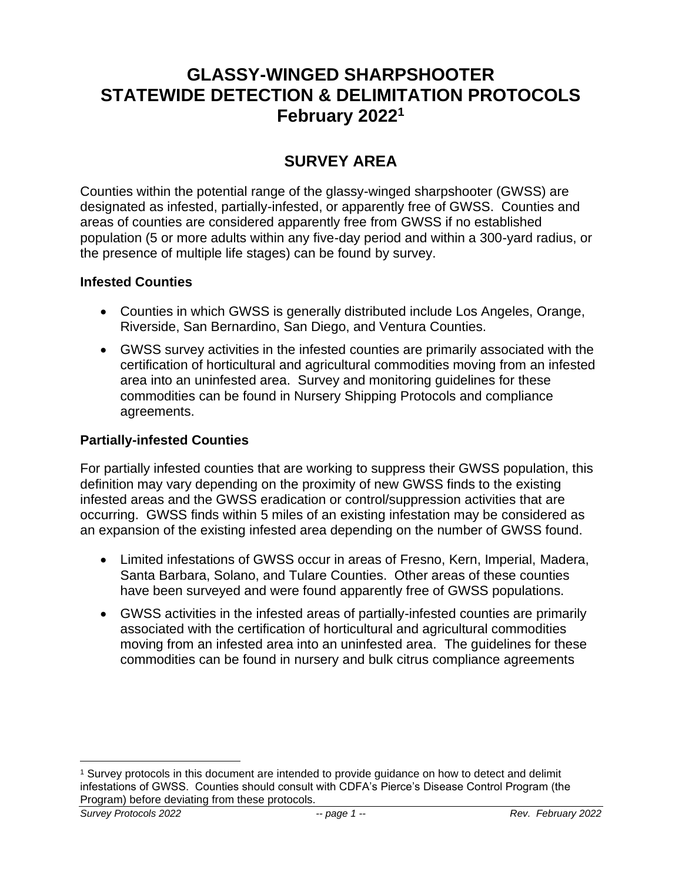# **GLASSY-WINGED SHARPSHOOTER STATEWIDE DETECTION & DELIMITATION PROTOCOLS February 2022 1**

# **SURVEY AREA**

Counties within the potential range of the glassy-winged sharpshooter (GWSS) are designated as infested, partially-infested, or apparently free of GWSS. Counties and areas of counties are considered apparently free from GWSS if no established population (5 or more adults within any five-day period and within a 300-yard radius, or the presence of multiple life stages) can be found by survey.

### **Infested Counties**

- Counties in which GWSS is generally distributed include Los Angeles, Orange, Riverside, San Bernardino, San Diego, and Ventura Counties.
- GWSS survey activities in the infested counties are primarily associated with the certification of horticultural and agricultural commodities moving from an infested area into an uninfested area. Survey and monitoring guidelines for these commodities can be found in Nursery Shipping Protocols and compliance agreements.

### **Partially-infested Counties**

For partially infested counties that are working to suppress their GWSS population, this definition may vary depending on the proximity of new GWSS finds to the existing infested areas and the GWSS eradication or control/suppression activities that are occurring. GWSS finds within 5 miles of an existing infestation may be considered as an expansion of the existing infested area depending on the number of GWSS found.

- Limited infestations of GWSS occur in areas of Fresno, Kern, Imperial, Madera, Santa Barbara, Solano, and Tulare Counties. Other areas of these counties have been surveyed and were found apparently free of GWSS populations.
- GWSS activities in the infested areas of partially-infested counties are primarily associated with the certification of horticultural and agricultural commodities moving from an infested area into an uninfested area. The guidelines for these commodities can be found in nursery and bulk citrus compliance agreements

<sup>1</sup> Survey protocols in this document are intended to provide guidance on how to detect and delimit infestations of GWSS. Counties should consult with CDFA's Pierce's Disease Control Program (the Program) before deviating from these protocols.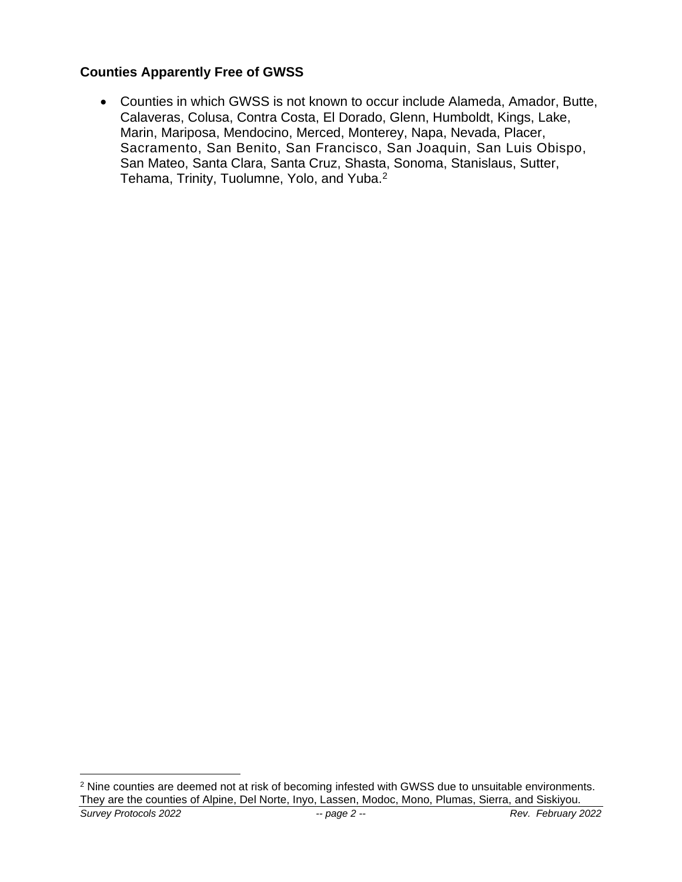### **Counties Apparently Free of GWSS**

• Counties in which GWSS is not known to occur include Alameda, Amador, Butte, Calaveras, Colusa, Contra Costa, El Dorado, Glenn, Humboldt, Kings, Lake, Marin, Mariposa, Mendocino, Merced, Monterey, Napa, Nevada, Placer, Sacramento, San Benito, San Francisco, San Joaquin, San Luis Obispo, San Mateo, Santa Clara, Santa Cruz, Shasta, Sonoma, Stanislaus, Sutter, Tehama, Trinity, Tuolumne, Yolo, and Yuba.<sup>2</sup>

*Survey Protocols 2022 -- page 2 -- Rev. February 2022* <sup>2</sup> Nine counties are deemed not at risk of becoming infested with GWSS due to unsuitable environments. They are the counties of Alpine, Del Norte, Inyo, Lassen, Modoc, Mono, Plumas, Sierra, and Siskiyou.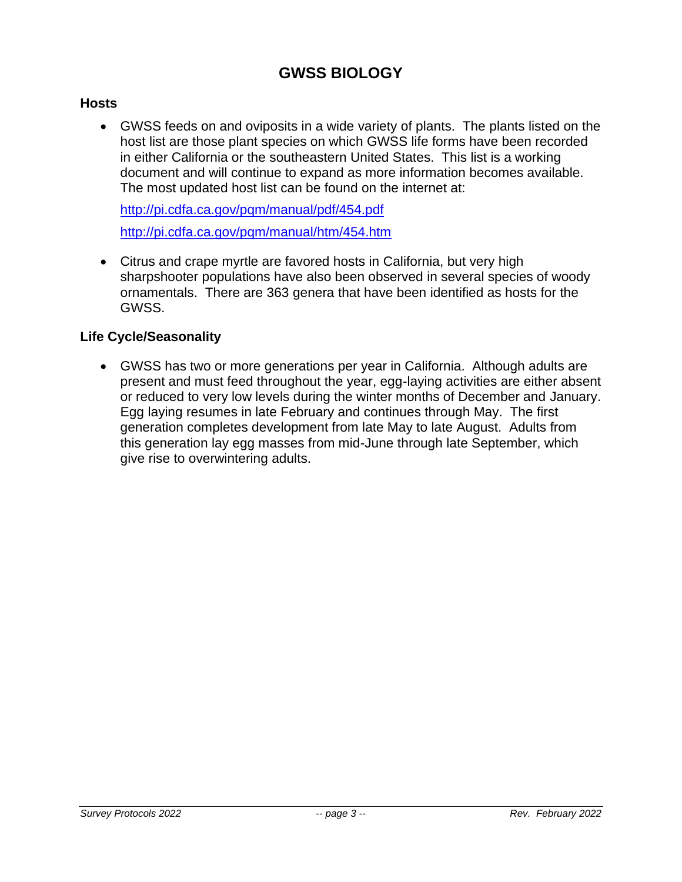# **GWSS BIOLOGY**

### **Hosts**

• GWSS feeds on and oviposits in a wide variety of plants. The plants listed on the host list are those plant species on which GWSS life forms have been recorded in either California or the southeastern United States. This list is a working document and will continue to expand as more information becomes available. The most updated host list can be found on the internet at:

<http://pi.cdfa.ca.gov/pqm/manual/pdf/454.pdf> <http://pi.cdfa.ca.gov/pqm/manual/htm/454.htm>

• Citrus and crape myrtle are favored hosts in California, but very high sharpshooter populations have also been observed in several species of woody ornamentals. There are 363 genera that have been identified as hosts for the GWSS.

#### **Life Cycle/Seasonality**

• GWSS has two or more generations per year in California. Although adults are present and must feed throughout the year, egg-laying activities are either absent or reduced to very low levels during the winter months of December and January. Egg laying resumes in late February and continues through May. The first generation completes development from late May to late August. Adults from this generation lay egg masses from mid-June through late September, which give rise to overwintering adults.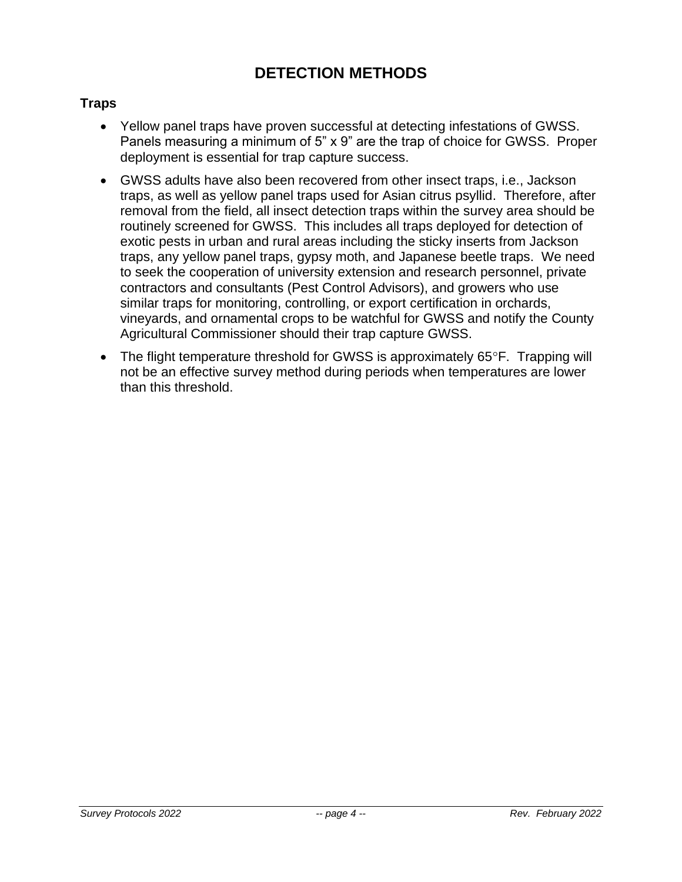# **DETECTION METHODS**

### **Traps**

- Yellow panel traps have proven successful at detecting infestations of GWSS. Panels measuring a minimum of 5" x 9" are the trap of choice for GWSS. Proper deployment is essential for trap capture success.
- GWSS adults have also been recovered from other insect traps, i.e., Jackson traps, as well as yellow panel traps used for Asian citrus psyllid. Therefore, after removal from the field, all insect detection traps within the survey area should be routinely screened for GWSS. This includes all traps deployed for detection of exotic pests in urban and rural areas including the sticky inserts from Jackson traps, any yellow panel traps, gypsy moth, and Japanese beetle traps. We need to seek the cooperation of university extension and research personnel, private contractors and consultants (Pest Control Advisors), and growers who use similar traps for monitoring, controlling, or export certification in orchards, vineyards, and ornamental crops to be watchful for GWSS and notify the County Agricultural Commissioner should their trap capture GWSS.
- The flight temperature threshold for GWSS is approximately  $65^{\circ}$ F. Trapping will not be an effective survey method during periods when temperatures are lower than this threshold.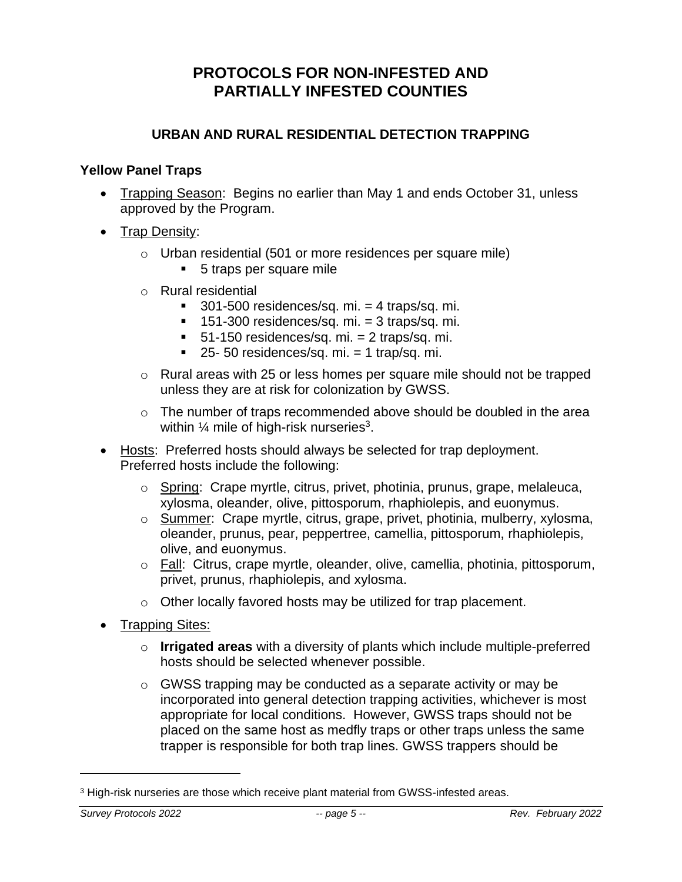## **PROTOCOLS FOR NON-INFESTED AND PARTIALLY INFESTED COUNTIES**

### **URBAN AND RURAL RESIDENTIAL DETECTION TRAPPING**

#### **Yellow Panel Traps**

- Trapping Season: Begins no earlier than May 1 and ends October 31, unless approved by the Program.
- Trap Density:
	- o Urban residential (501 or more residences per square mile)
		- 5 traps per square mile
	- o Rural residential
		- $\blacksquare$  301-500 residences/sq. mi. = 4 traps/sq. mi.
		- $\blacksquare$  151-300 residences/sq. mi. = 3 traps/sq. mi.
		- $\blacksquare$  51-150 residences/sq. mi. = 2 traps/sq. mi.
		- $\blacksquare$  25- 50 residences/sq. mi. = 1 trap/sq. mi.
	- o Rural areas with 25 or less homes per square mile should not be trapped unless they are at risk for colonization by GWSS.
	- $\circ$  The number of traps recommended above should be doubled in the area within  $\%$  mile of high-risk nurseries<sup>3</sup>.
- Hosts: Preferred hosts should always be selected for trap deployment. Preferred hosts include the following:
	- o Spring: Crape myrtle, citrus, privet, photinia, prunus, grape, melaleuca, xylosma, oleander, olive, pittosporum, rhaphiolepis, and euonymus.
	- o Summer: Crape myrtle, citrus, grape, privet, photinia, mulberry, xylosma, oleander, prunus, pear, peppertree, camellia, pittosporum, rhaphiolepis, olive, and euonymus.
	- o Fall: Citrus, crape myrtle, oleander, olive, camellia, photinia, pittosporum, privet, prunus, rhaphiolepis, and xylosma.
	- o Other locally favored hosts may be utilized for trap placement.
- Trapping Sites:
	- o **Irrigated areas** with a diversity of plants which include multiple-preferred hosts should be selected whenever possible.
	- o GWSS trapping may be conducted as a separate activity or may be incorporated into general detection trapping activities, whichever is most appropriate for local conditions. However, GWSS traps should not be placed on the same host as medfly traps or other traps unless the same trapper is responsible for both trap lines. GWSS trappers should be

<sup>3</sup> High-risk nurseries are those which receive plant material from GWSS-infested areas.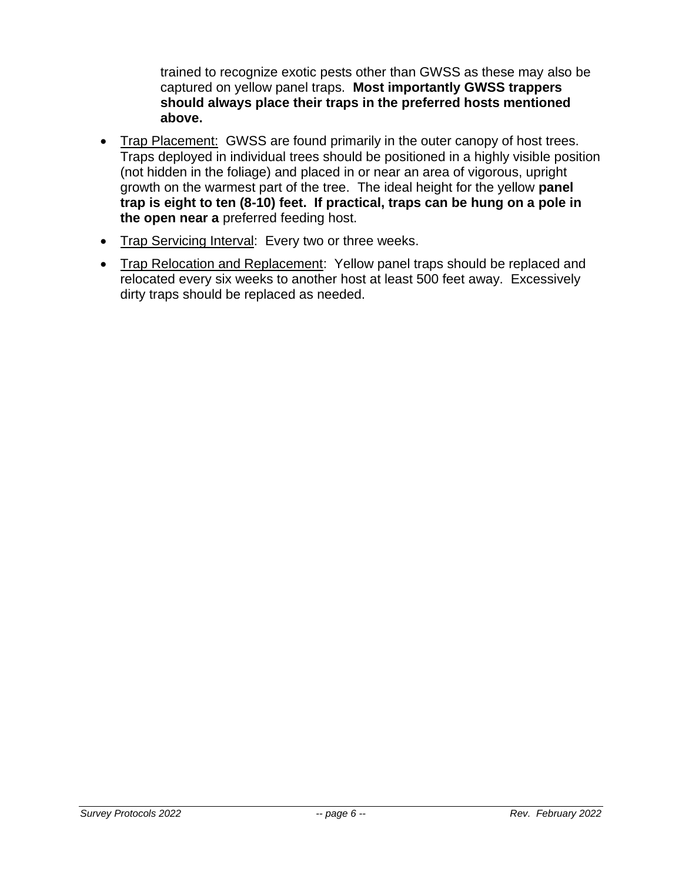trained to recognize exotic pests other than GWSS as these may also be captured on yellow panel traps. **Most importantly GWSS trappers should always place their traps in the preferred hosts mentioned above.**

- Trap Placement: GWSS are found primarily in the outer canopy of host trees. Traps deployed in individual trees should be positioned in a highly visible position (not hidden in the foliage) and placed in or near an area of vigorous, upright growth on the warmest part of the tree. The ideal height for the yellow **panel trap is eight to ten (8-10) feet. If practical, traps can be hung on a pole in the open near a** preferred feeding host.
- Trap Servicing Interval: Every two or three weeks.
- Trap Relocation and Replacement: Yellow panel traps should be replaced and relocated every six weeks to another host at least 500 feet away. Excessively dirty traps should be replaced as needed.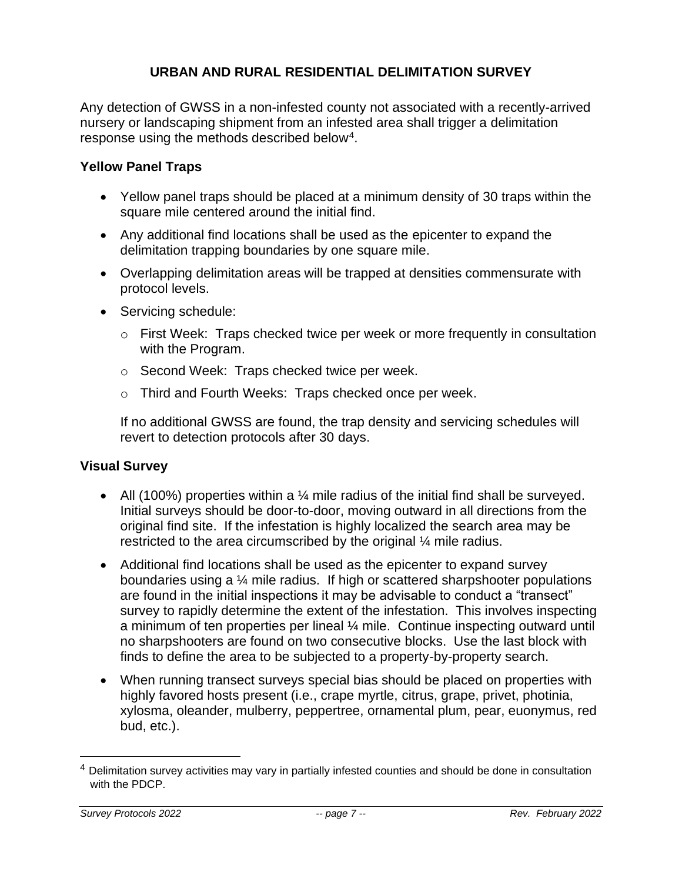### **URBAN AND RURAL RESIDENTIAL DELIMITATION SURVEY**

Any detection of GWSS in a non-infested county not associated with a recently-arrived nursery or landscaping shipment from an infested area shall trigger a delimitation response using the methods described below<sup>4</sup>.

### **Yellow Panel Traps**

- Yellow panel traps should be placed at a minimum density of 30 traps within the square mile centered around the initial find.
- Any additional find locations shall be used as the epicenter to expand the delimitation trapping boundaries by one square mile.
- Overlapping delimitation areas will be trapped at densities commensurate with protocol levels.
- Servicing schedule:
	- o First Week: Traps checked twice per week or more frequently in consultation with the Program.
	- o Second Week: Traps checked twice per week.
	- o Third and Fourth Weeks: Traps checked once per week.

If no additional GWSS are found, the trap density and servicing schedules will revert to detection protocols after 30 days.

### **Visual Survey**

- All (100%) properties within a  $\frac{1}{4}$  mile radius of the initial find shall be surveyed. Initial surveys should be door-to-door, moving outward in all directions from the original find site. If the infestation is highly localized the search area may be restricted to the area circumscribed by the original ¼ mile radius.
- Additional find locations shall be used as the epicenter to expand survey boundaries using a ¼ mile radius. If high or scattered sharpshooter populations are found in the initial inspections it may be advisable to conduct a "transect" survey to rapidly determine the extent of the infestation. This involves inspecting a minimum of ten properties per lineal ¼ mile. Continue inspecting outward until no sharpshooters are found on two consecutive blocks. Use the last block with finds to define the area to be subjected to a property-by-property search.
- When running transect surveys special bias should be placed on properties with highly favored hosts present (i.e., crape myrtle, citrus, grape, privet, photinia, xylosma, oleander, mulberry, peppertree, ornamental plum, pear, euonymus, red bud, etc.).

<sup>4</sup> Delimitation survey activities may vary in partially infested counties and should be done in consultation with the PDCP.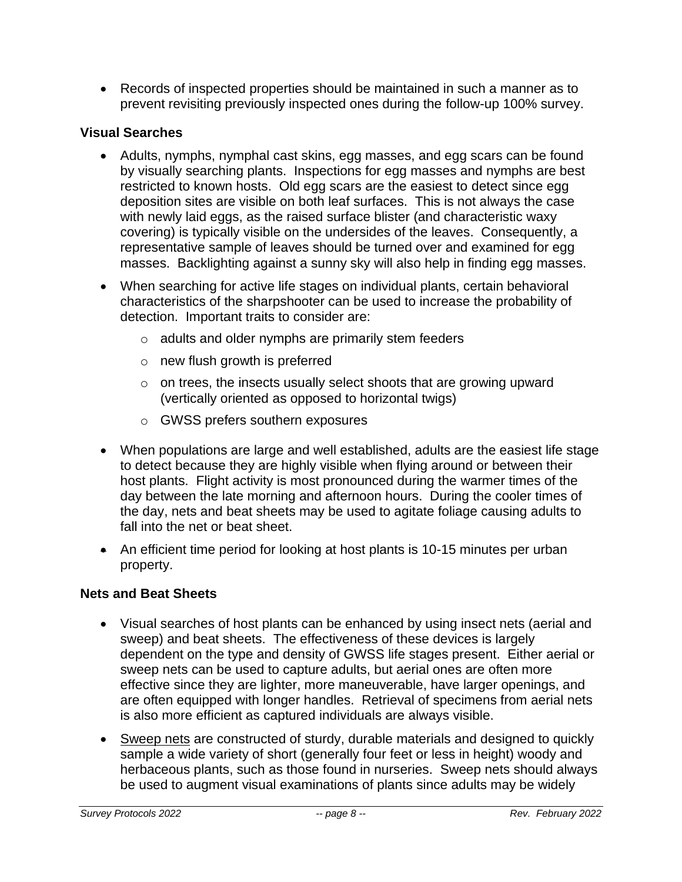• Records of inspected properties should be maintained in such a manner as to prevent revisiting previously inspected ones during the follow-up 100% survey.

## **Visual Searches**

- Adults, nymphs, nymphal cast skins, egg masses, and egg scars can be found by visually searching plants. Inspections for egg masses and nymphs are best restricted to known hosts. Old egg scars are the easiest to detect since egg deposition sites are visible on both leaf surfaces. This is not always the case with newly laid eggs, as the raised surface blister (and characteristic waxy covering) is typically visible on the undersides of the leaves. Consequently, a representative sample of leaves should be turned over and examined for egg masses. Backlighting against a sunny sky will also help in finding egg masses.
- When searching for active life stages on individual plants, certain behavioral characteristics of the sharpshooter can be used to increase the probability of detection. Important traits to consider are:
	- o adults and older nymphs are primarily stem feeders
	- o new flush growth is preferred
	- $\circ$  on trees, the insects usually select shoots that are growing upward (vertically oriented as opposed to horizontal twigs)
	- o GWSS prefers southern exposures
- When populations are large and well established, adults are the easiest life stage to detect because they are highly visible when flying around or between their host plants. Flight activity is most pronounced during the warmer times of the day between the late morning and afternoon hours. During the cooler times of the day, nets and beat sheets may be used to agitate foliage causing adults to fall into the net or beat sheet.
- An efficient time period for looking at host plants is 10-15 minutes per urban property.

## **Nets and Beat Sheets**

- Visual searches of host plants can be enhanced by using insect nets (aerial and sweep) and beat sheets. The effectiveness of these devices is largely dependent on the type and density of GWSS life stages present. Either aerial or sweep nets can be used to capture adults, but aerial ones are often more effective since they are lighter, more maneuverable, have larger openings, and are often equipped with longer handles. Retrieval of specimens from aerial nets is also more efficient as captured individuals are always visible.
- Sweep nets are constructed of sturdy, durable materials and designed to quickly sample a wide variety of short (generally four feet or less in height) woody and herbaceous plants, such as those found in nurseries. Sweep nets should always be used to augment visual examinations of plants since adults may be widely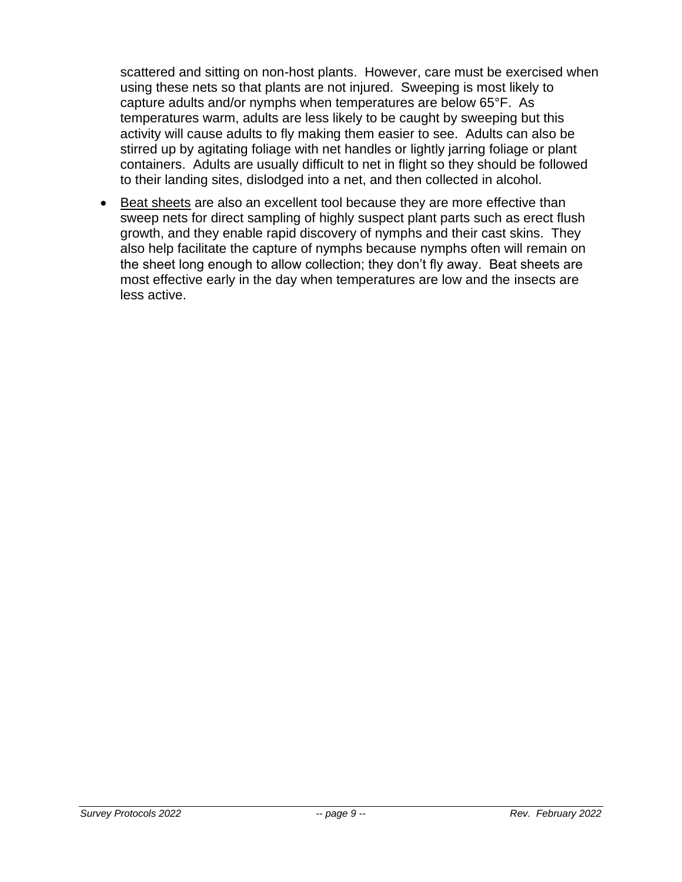scattered and sitting on non-host plants. However, care must be exercised when using these nets so that plants are not injured. Sweeping is most likely to capture adults and/or nymphs when temperatures are below 65°F. As temperatures warm, adults are less likely to be caught by sweeping but this activity will cause adults to fly making them easier to see. Adults can also be stirred up by agitating foliage with net handles or lightly jarring foliage or plant containers. Adults are usually difficult to net in flight so they should be followed to their landing sites, dislodged into a net, and then collected in alcohol.

• Beat sheets are also an excellent tool because they are more effective than sweep nets for direct sampling of highly suspect plant parts such as erect flush growth, and they enable rapid discovery of nymphs and their cast skins. They also help facilitate the capture of nymphs because nymphs often will remain on the sheet long enough to allow collection; they don't fly away. Beat sheets are most effective early in the day when temperatures are low and the insects are less active.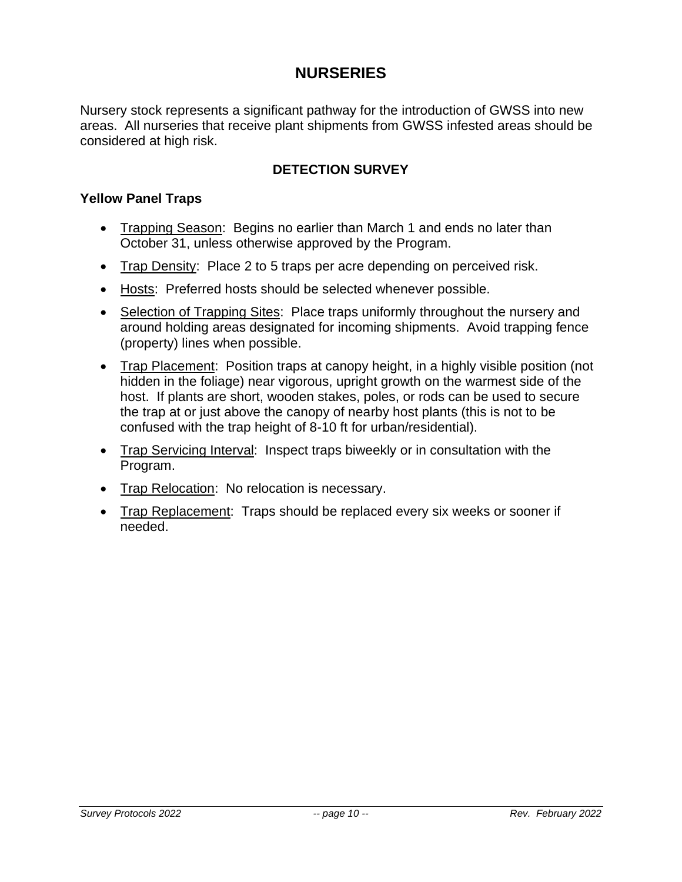## **NURSERIES**

Nursery stock represents a significant pathway for the introduction of GWSS into new areas. All nurseries that receive plant shipments from GWSS infested areas should be considered at high risk.

### **DETECTION SURVEY**

#### **Yellow Panel Traps**

- Trapping Season: Begins no earlier than March 1 and ends no later than October 31, unless otherwise approved by the Program.
- Trap Density: Place 2 to 5 traps per acre depending on perceived risk.
- Hosts: Preferred hosts should be selected whenever possible.
- Selection of Trapping Sites: Place traps uniformly throughout the nursery and around holding areas designated for incoming shipments. Avoid trapping fence (property) lines when possible.
- Trap Placement: Position traps at canopy height, in a highly visible position (not hidden in the foliage) near vigorous, upright growth on the warmest side of the host. If plants are short, wooden stakes, poles, or rods can be used to secure the trap at or just above the canopy of nearby host plants (this is not to be confused with the trap height of 8-10 ft for urban/residential).
- Trap Servicing Interval: Inspect traps biweekly or in consultation with the Program.
- Trap Relocation: No relocation is necessary.
- Trap Replacement: Traps should be replaced every six weeks or sooner if needed.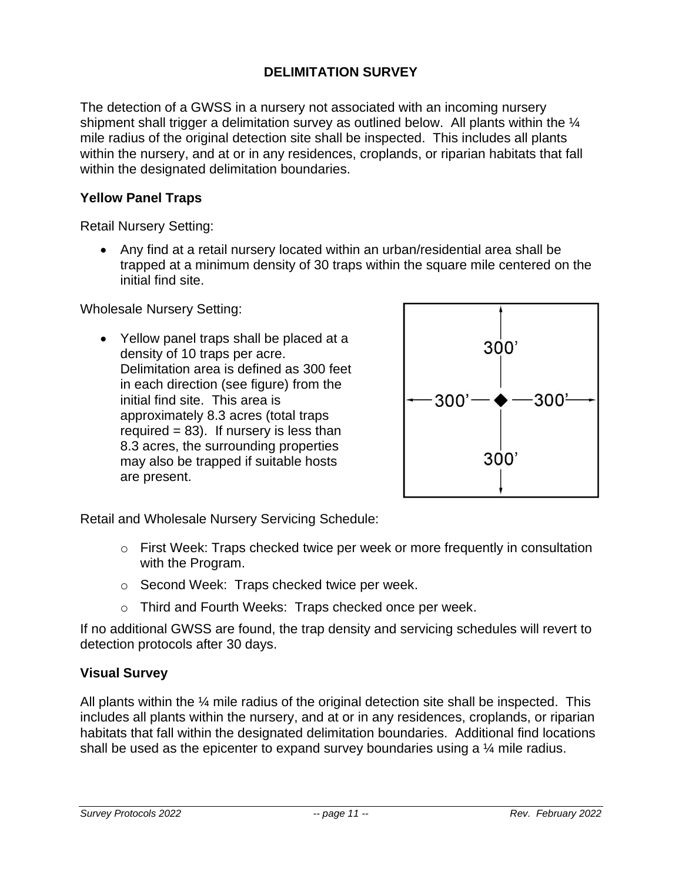### **DELIMITATION SURVEY**

The detection of a GWSS in a nursery not associated with an incoming nursery shipment shall trigger a delimitation survey as outlined below. All plants within the  $\frac{1}{4}$ mile radius of the original detection site shall be inspected. This includes all plants within the nursery, and at or in any residences, croplands, or riparian habitats that fall within the designated delimitation boundaries.

#### **Yellow Panel Traps**

Retail Nursery Setting:

• Any find at a retail nursery located within an urban/residential area shall be trapped at a minimum density of 30 traps within the square mile centered on the initial find site.

Wholesale Nursery Setting:

• Yellow panel traps shall be placed at a density of 10 traps per acre. Delimitation area is defined as 300 feet in each direction (see figure) from the initial find site. This area is approximately 8.3 acres (total traps required  $= 83$ ). If nursery is less than 8.3 acres, the surrounding properties may also be trapped if suitable hosts are present.



Retail and Wholesale Nursery Servicing Schedule:

- $\circ$  First Week: Traps checked twice per week or more frequently in consultation with the Program.
- o Second Week: Traps checked twice per week.
- o Third and Fourth Weeks: Traps checked once per week.

If no additional GWSS are found, the trap density and servicing schedules will revert to detection protocols after 30 days.

### **Visual Survey**

All plants within the  $\frac{1}{4}$  mile radius of the original detection site shall be inspected. This includes all plants within the nursery, and at or in any residences, croplands, or riparian habitats that fall within the designated delimitation boundaries. Additional find locations shall be used as the epicenter to expand survey boundaries using a 1/4 mile radius.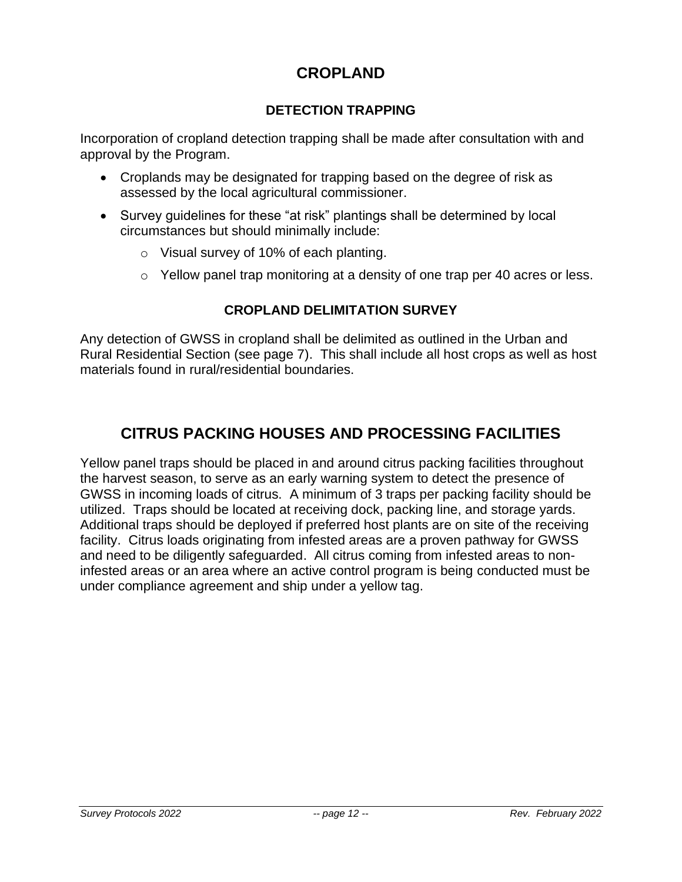## **CROPLAND**

## **DETECTION TRAPPING**

Incorporation of cropland detection trapping shall be made after consultation with and approval by the Program.

- Croplands may be designated for trapping based on the degree of risk as assessed by the local agricultural commissioner.
- Survey guidelines for these "at risk" plantings shall be determined by local circumstances but should minimally include:
	- o Visual survey of 10% of each planting.
	- o Yellow panel trap monitoring at a density of one trap per 40 acres or less.

## **CROPLAND DELIMITATION SURVEY**

Any detection of GWSS in cropland shall be delimited as outlined in the Urban and Rural Residential Section (see page 7). This shall include all host crops as well as host materials found in rural/residential boundaries.

# **CITRUS PACKING HOUSES AND PROCESSING FACILITIES**

Yellow panel traps should be placed in and around citrus packing facilities throughout the harvest season, to serve as an early warning system to detect the presence of GWSS in incoming loads of citrus. A minimum of 3 traps per packing facility should be utilized. Traps should be located at receiving dock, packing line, and storage yards. Additional traps should be deployed if preferred host plants are on site of the receiving facility. Citrus loads originating from infested areas are a proven pathway for GWSS and need to be diligently safeguarded. All citrus coming from infested areas to noninfested areas or an area where an active control program is being conducted must be under compliance agreement and ship under a yellow tag.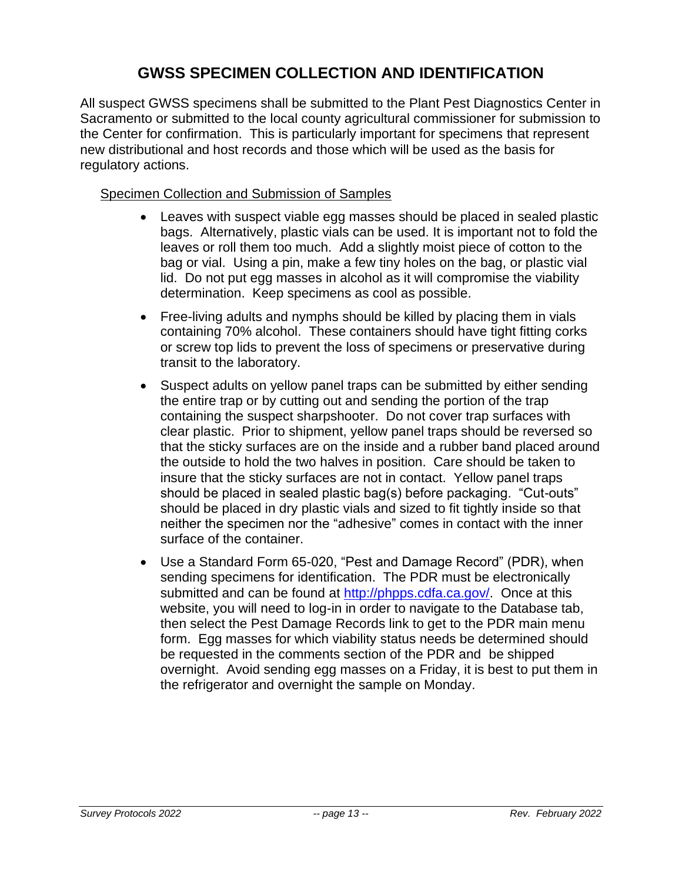# **GWSS SPECIMEN COLLECTION AND IDENTIFICATION**

All suspect GWSS specimens shall be submitted to the Plant Pest Diagnostics Center in Sacramento or submitted to the local county agricultural commissioner for submission to the Center for confirmation. This is particularly important for specimens that represent new distributional and host records and those which will be used as the basis for regulatory actions.

### Specimen Collection and Submission of Samples

- Leaves with suspect viable egg masses should be placed in sealed plastic bags. Alternatively, plastic vials can be used. It is important not to fold the leaves or roll them too much. Add a slightly moist piece of cotton to the bag or vial. Using a pin, make a few tiny holes on the bag, or plastic vial lid. Do not put egg masses in alcohol as it will compromise the viability determination. Keep specimens as cool as possible.
- Free-living adults and nymphs should be killed by placing them in vials containing 70% alcohol. These containers should have tight fitting corks or screw top lids to prevent the loss of specimens or preservative during transit to the laboratory.
- Suspect adults on yellow panel traps can be submitted by either sending the entire trap or by cutting out and sending the portion of the trap containing the suspect sharpshooter. Do not cover trap surfaces with clear plastic. Prior to shipment, yellow panel traps should be reversed so that the sticky surfaces are on the inside and a rubber band placed around the outside to hold the two halves in position. Care should be taken to insure that the sticky surfaces are not in contact. Yellow panel traps should be placed in sealed plastic bag(s) before packaging. "Cut-outs" should be placed in dry plastic vials and sized to fit tightly inside so that neither the specimen nor the "adhesive" comes in contact with the inner surface of the container.
- Use a Standard Form 65-020, "Pest and Damage Record" (PDR), when sending specimens for identification. The PDR must be electronically submitted and can be found at [http://phpps.cdfa.ca.gov/.](http://phpps.cdfa.ca.gov/) Once at this website, you will need to log-in in order to navigate to the Database tab, then select the Pest Damage Records link to get to the PDR main menu form. Egg masses for which viability status needs be determined should be requested in the comments section of the PDR and be shipped overnight. Avoid sending egg masses on a Friday, it is best to put them in the refrigerator and overnight the sample on Monday.